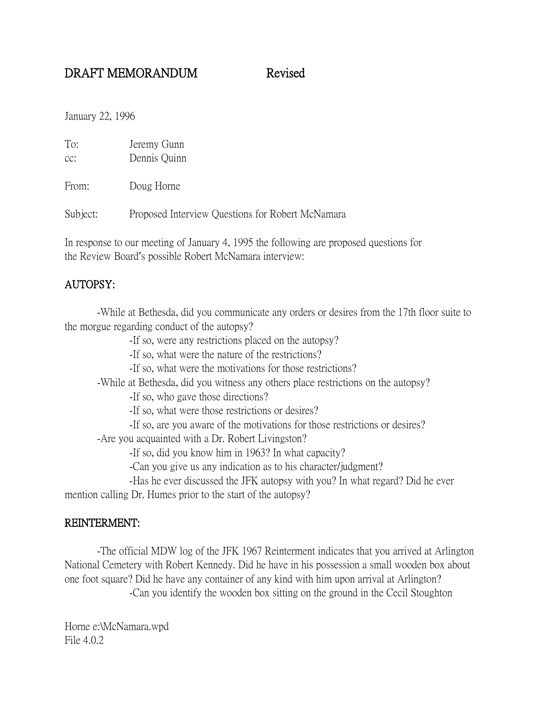# DRAFT MEMORANDUM Revised

January 22, 1996

| To: | Jeremy Gunn  |
|-----|--------------|
| cc: | Dennis Quinn |

From: Doug Horne

Subject: Proposed Interview Questions for Robert McNamara

In response to our meeting of January 4, 1995 the following are proposed questions for the Review Board's possible Robert McNamara interview:

## AUTOPSY:

-While at Bethesda, did you communicate any orders or desires from the 17th floor suite to the morgue regarding conduct of the autopsy?

-If so, were any restrictions placed on the autopsy?

-If so, what were the nature of the restrictions?

-If so, what were the motivations for those restrictions?

-While at Bethesda, did you witness any others place restrictions on the autopsy?

-If so, who gave those directions?

-If so, what were those restrictions or desires?

-If so, are you aware of the motivations for those restrictions or desires?

-Are you acquainted with a Dr. Robert Livingston?

-If so, did you know him in 1963? In what capacity?

-Can you give us any indication as to his character/judgment?

-Has he ever discussed the JFK autopsy with you? In what regard? Did he ever mention calling Dr. Humes prior to the start of the autopsy?

### REINTERMENT:

-The official MDW log of the JFK 1967 Reinterment indicates that you arrived at Arlington National Cemetery with Robert Kennedy. Did he have in his possession a small wooden box about one foot square? Did he have any container of any kind with him upon arrival at Arlington?

-Can you identify the wooden box sitting on the ground in the Cecil Stoughton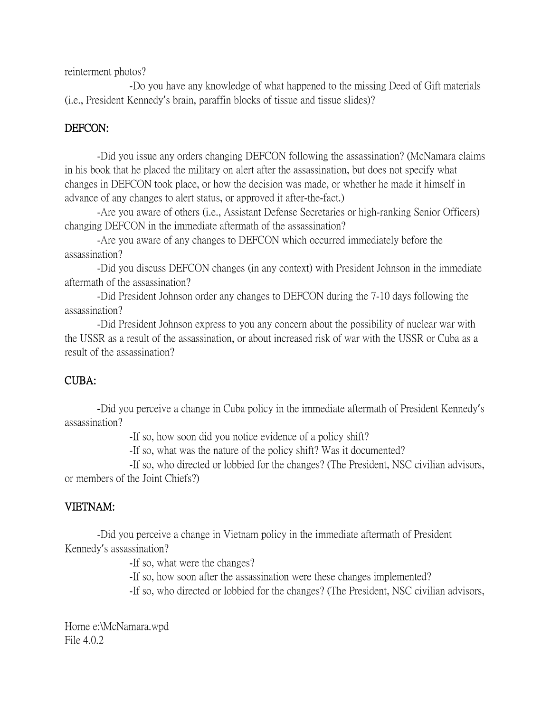reinterment photos?

-Do you have any knowledge of what happened to the missing Deed of Gift materials (i.e., President Kennedy's brain, paraffin blocks of tissue and tissue slides)?

### DEFCON:

-Did you issue any orders changing DEFCON following the assassination? (McNamara claims in his book that he placed the military on alert after the assassination, but does not specify what changes in DEFCON took place, or how the decision was made, or whether he made it himself in advance of any changes to alert status, or approved it after-the-fact.)

-Are you aware of others (i.e., Assistant Defense Secretaries or high-ranking Senior Officers) changing DEFCON in the immediate aftermath of the assassination?

-Are you aware of any changes to DEFCON which occurred immediately before the assassination?

-Did you discuss DEFCON changes (in any context) with President Johnson in the immediate aftermath of the assassination?

-Did President Johnson order any changes to DEFCON during the 7-10 days following the assassination?

-Did President Johnson express to you any concern about the possibility of nuclear war with the USSR as a result of the assassination, or about increased risk of war with the USSR or Cuba as a result of the assassination?

### CUBA:

-Did you perceive a change in Cuba policy in the immediate aftermath of President Kennedy's assassination?

-If so, how soon did you notice evidence of a policy shift?

-If so, what was the nature of the policy shift? Was it documented?

-If so, who directed or lobbied for the changes? (The President, NSC civilian advisors, or members of the Joint Chiefs?)

### VIETNAM:

-Did you perceive a change in Vietnam policy in the immediate aftermath of President Kennedy's assassination?

-If so, what were the changes?

-If so, how soon after the assassination were these changes implemented?

-If so, who directed or lobbied for the changes? (The President, NSC civilian advisors,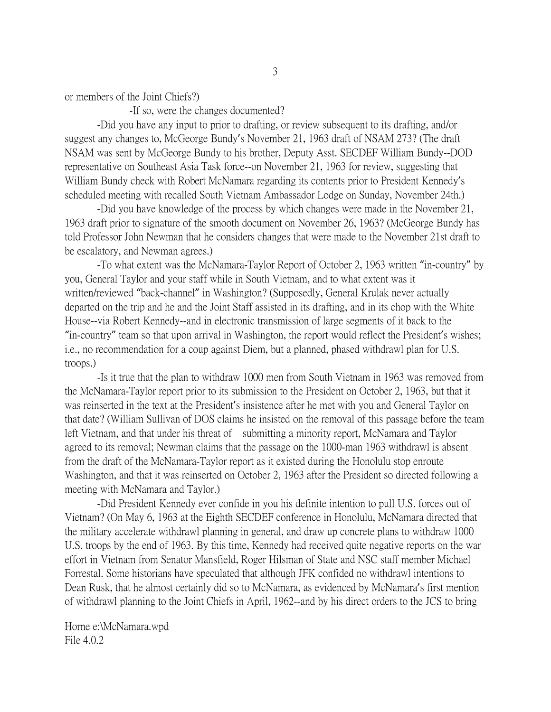or members of the Joint Chiefs?)

-If so, were the changes documented?

-Did you have any input to prior to drafting, or review subsequent to its drafting, and/or suggest any changes to, McGeorge Bundy's November 21, 1963 draft of NSAM 273? (The draft NSAM was sent by McGeorge Bundy to his brother, Deputy Asst. SECDEF William Bundy--DOD representative on Southeast Asia Task force--on November 21, 1963 for review, suggesting that William Bundy check with Robert McNamara regarding its contents prior to President Kennedy's scheduled meeting with recalled South Vietnam Ambassador Lodge on Sunday, November 24th.)

-Did you have knowledge of the process by which changes were made in the November 21, 1963 draft prior to signature of the smooth document on November 26, 1963? (McGeorge Bundy has told Professor John Newman that he considers changes that were made to the November 21st draft to be escalatory, and Newman agrees.)

-To what extent was the McNamara-Taylor Report of October 2, 1963 written "in-country" by you, General Taylor and your staff while in South Vietnam, and to what extent was it written/reviewed "back-channel" in Washington? (Supposedly, General Krulak never actually departed on the trip and he and the Joint Staff assisted in its drafting, and in its chop with the White House--via Robert Kennedy--and in electronic transmission of large segments of it back to the "in-country" team so that upon arrival in Washington, the report would reflect the President's wishes; i.e., no recommendation for a coup against Diem, but a planned, phased withdrawl plan for U.S. troops.)

-Is it true that the plan to withdraw 1000 men from South Vietnam in 1963 was removed from the McNamara-Taylor report prior to its submission to the President on October 2, 1963, but that it was reinserted in the text at the President's insistence after he met with you and General Taylor on that date? (William Sullivan of DOS claims he insisted on the removal of this passage before the team left Vietnam, and that under his threat of submitting a minority report, McNamara and Taylor agreed to its removal; Newman claims that the passage on the 1000-man 1963 withdrawl is absent from the draft of the McNamara-Taylor report as it existed during the Honolulu stop enroute Washington, and that it was reinserted on October 2, 1963 after the President so directed following a meeting with McNamara and Taylor.)

-Did President Kennedy ever confide in you his definite intention to pull U.S. forces out of Vietnam? (On May 6, 1963 at the Eighth SECDEF conference in Honolulu, McNamara directed that the military accelerate withdrawl planning in general, and draw up concrete plans to withdraw 1000 U.S. troops by the end of 1963. By this time, Kennedy had received quite negative reports on the war effort in Vietnam from Senator Mansfield, Roger Hilsman of State and NSC staff member Michael Forrestal. Some historians have speculated that although JFK confided no withdrawl intentions to Dean Rusk, that he almost certainly did so to McNamara, as evidenced by McNamara's first mention of withdrawl planning to the Joint Chiefs in April, 1962--and by his direct orders to the JCS to bring